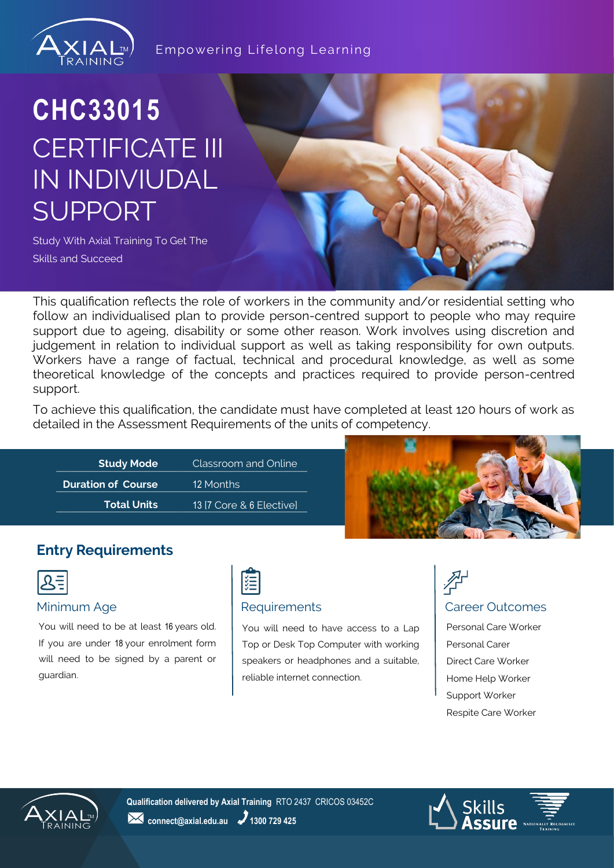

#### Empowering Lifelong Learning

## **CHC33015** CERTIFICATE III IN INDIVIUDAL SUPPORT

Study With Axial Training To Get The Skills and Succeed

This qualification reflects the role of workers in the community and/or residential setting who follow an individualised plan to provide person-centred support to people who may require support due to ageing, disability or some other reason. Work involves using discretion and judgement in relation to individual support as well as taking responsibility for own outputs. Workers have a range of factual, technical and procedural knowledge, as well as some theoretical knowledge of the concepts and practices required to provide person-centred support.

To achieve this qualification, the candidate must have completed at least 120 hours of work as detailed in the Assessment Requirements of the units of competency.



#### **Entry Requirements**

|--|

You will need to be at least 16 years old. If you are under 18 your enrolment form will need to be signed by a parent or guardian.



#### Minimum Age **Requirements Requirements Requirements Requirements Requirements**

You will need to have access to a Lap Top or Desk Top Computer with working speakers or headphones and a suitable, reliable internet connection.

# 孕

Personal Care Worker Personal Carer Direct Care Worker Home Help Worker Support Worker Respite Care Worker



**Qualification delivered by Axial Training** RTO 2437 CRICOS 03452C **24** connect@axial.edu.au **2** 1300 729 425